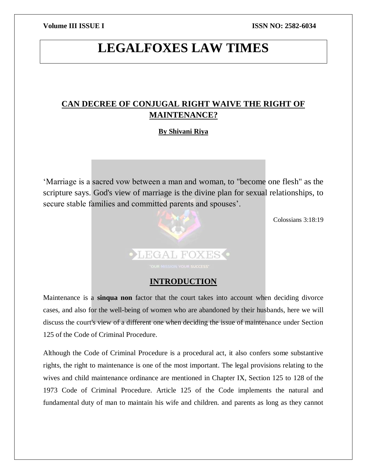# **LEGALFOXES LAW TIMES**

## **CAN DECREE OF CONJUGAL RIGHT WAIVE THE RIGHT OF MAINTENANCE?**

## **By Shivani Riya**

'Marriage is a sacred vow between a man and woman, to "become one flesh" as the scripture says. God's view of marriage is the divine plan for sexual relationships, to secure stable families and committed parents and spouses'.



Colossians 3:18:19

## **INTRODUCTION**

Maintenance is a **sinqua non** factor that the court takes into account when deciding divorce cases, and also for the well-being of women who are abandoned by their husbands, here we will discuss the court's view of a different one when deciding the issue of maintenance under Section 125 of the Code of Criminal Procedure.

Although the Code of Criminal Procedure is a procedural act, it also confers some substantive rights, the right to maintenance is one of the most important. The legal provisions relating to the wives and child maintenance ordinance are mentioned in Chapter IX, Section 125 to 128 of the 1973 Code of Criminal Procedure. Article 125 of the Code implements the natural and fundamental duty of man to maintain his wife and children. and parents as long as they cannot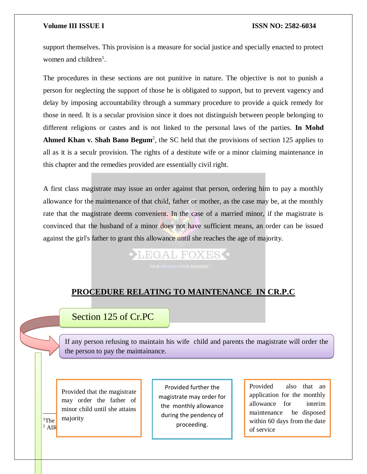support themselves. This provision is a measure for social justice and specially enacted to protect women and children<sup>1</sup>.

The procedures in these sections are not punitive in nature. The objective is not to punish a person for neglecting the support of those he is obligated to support, but to prevent vagency and delay by imposing accountability through a summary procedure to provide a quick remedy for those in need. It is a secular provision since it does not distinguish between people belonging to different religions or castes and is not linked to the personal laws of the parties. **In Mohd**  Ahmed Khan v. Shah Bano Begum<sup>2</sup>, the SC held that the provisions of section 125 applies to all as it is a seculr provision. The rights of a destitute wife or a minor claiming maintenance in this chapter and the remedies provided are essentially civil right.

A first class magistrate may issue an order against that person, ordering him to pay a monthly allowance for the maintenance of that child, father or mother, as the case may be, at the monthly rate that the magistrate deems convenient. In the case of a married minor, if the magistrate is convinced that the husband of a minor does not have sufficient means, an order can be issued against the girl's father to grant this allowance until she reaches the age of majority.

# LEGAL FOXES

## **PROCEDURE RELATING TO MAINTENANCE IN CR.P.C**

## Section 125 of Cr.PC

If any person refusing to maintain his wife child and parents the magistrate will order the the person to pay the maintainance.

 $n_{\text{The}}$  majority Provided that the magistrate may order the father of minor child until she attains

 $\overline{\phantom{a}}$ 

 $2$  AIR

Provided further the magistrate may order for the monthly allowance during the pendency of proceeding.

Provided also that an application for the monthly allowance for interim maintenance be disposed within 60 days from the date of service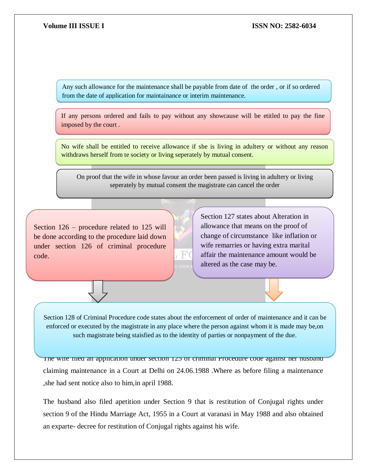Any such allowance for the maintenance shall be payable from date of the order , or if so ordered from the date of application for maintainance or interim maintenance.

If any persons ordered and fails to pay without any showcause will be etitled to pay the fine imposed by the court .

No wife shall be entitled to receive allowance if she is living in adultery or without any reason withdraws herself from te society or living seperately by mutual consent.

On proof that the wife in whose favour an order been passed is living in adultery or living seperately by mutual consent the magistrate can cancel the order

Section 126 – procedure related to 125 will be done according to the procedure laid down under section 126 of criminal procedure code.



Section 127 states about Alteration in allowance that means on the proof of change of circumstance like inflation or wife remarries or having extra marital affair the maintenance amount would be altered as the case may be.

such magistrate being staisfied as to the identity of parties or nonpayment of the due. Section 128 of Criminal Procedure code states about the enforcement of order of maintenance and it can be enforced or executed by the magistrate in any place where the person against whom it is made may be,on

The wife filed an application under section  $125$  of criminal Procedure code against her husband claiming maintenance in a Court at Delhi on 24.06.1988 .Where as before filing a maintenance ,she had sent notice also to him,in april 1988.

The husband also filed apetition under Section 9 that is restitution of Conjugal rights under section 9 of the Hindu Marriage Act, 1955 in a Court at varanasi in May 1988 and also obtained an exparte- decree for restitution of Conjugal rights against his wife.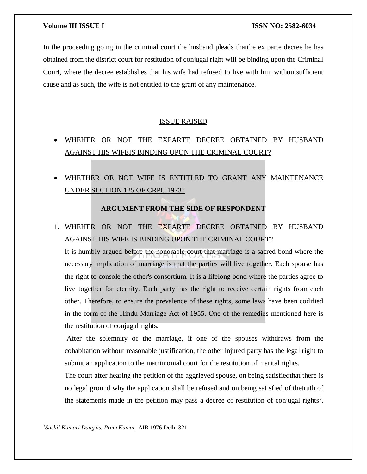In the proceeding going in the criminal court the husband pleads thatthe ex parte decree he has obtained from the district court for restitution of conjugal right will be binding upon the Criminal Court, where the decree establishes that his wife had refused to live with him withoutsufficient cause and as such, the wife is not entitled to the grant of any maintenance.

### ISSUE RAISED

- WHEHER OR NOT THE EXPARTE DECREE OBTAINED BY HUSBAND AGAINST HIS WIFEIS BINDING UPON THE CRIMINAL COURT?
- WHETHER OR NOT WIFE IS ENTITLED TO GRANT ANY MAINTENANCE UNDER SECTION 125 OF CRPC 1973?

### **ARGUMENT FROM THE SIDE OF RESPONDENT**

1. WHEHER OR NOT THE EXPARTE DECREE OBTAINED BY HUSBAND AGAINST HIS WIFE IS BINDING UPON THE CRIMINAL COURT?

It is humbly argued before the honorable court that marriage is a sacred bond where the necessary implication of marriage is that the parties will live together. Each spouse has the right to console the other's consortium. It is a lifelong bond where the parties agree to live together for eternity. Each party has the right to receive certain rights from each other. Therefore, to ensure the prevalence of these rights, some laws have been codified in the form of the Hindu Marriage Act of 1955. One of the remedies mentioned here is the restitution of conjugal rights.

After the solemnity of the marriage, if one of the spouses withdraws from the cohabitation without reasonable justification, the other injured party has the legal right to submit an application to the matrimonial court for the restitution of marital rights.

The court after hearing the petition of the aggrieved spouse, on being satisfiedthat there is no legal ground why the application shall be refused and on being satisfied of thetruth of the statements made in the petition may pass a decree of restitution of conjugal rights<sup>3</sup>.

<sup>3</sup>*Sushil Kumari Dang vs. Prem Kumar,* AIR 1976 Delhi 321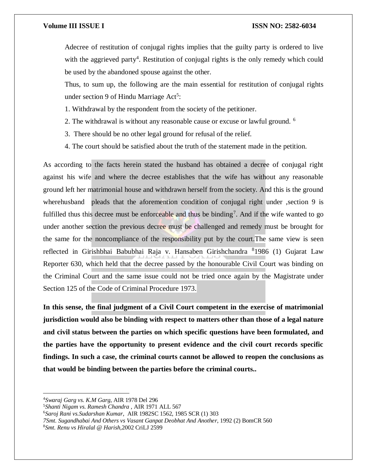Adecree of restitution of conjugal rights implies that the guilty party is ordered to live with the aggrieved party<sup>4</sup>. Restitution of conjugal rights is the only remedy which could be used by the abandoned spouse against the other.

Thus, to sum up, the following are the main essential for restitution of conjugal rights under section 9 of Hindu Marriage Act<sup>5</sup>:

- 1. Withdrawal by the respondent from the society of the petitioner.
- 2. The withdrawal is without any reasonable cause or excuse or lawful ground. <sup>6</sup>
- 3. There should be no other legal ground for refusal of the relief.
- 4. The court should be satisfied about the truth of the statement made in the petition.

As according to the facts herein stated the husband has obtained a decree of conjugal right against his wife and where the decree establishes that the wife has without any reasonable ground left her matrimonial house and withdrawn herself from the society. And this is the ground wherehusband pleads that the aforemention condition of conjugal right under , section 9 is fulfilled thus this decree must be enforceable and thus be binding<sup>7</sup>. And if the wife wanted to go under another section the previous decree must be challenged and remedy must be brought for the same for the noncompliance of the responsibility put by the court.The same view is seen reflected in Girishbhai Babubhai Raja v. Hansaben Girishchandra 81986 (1) Gujarat Law Reporter 630, which held that the decree passed by the honourable Civil Court was binding on the Criminal Court and the same issue could not be tried once again by the Magistrate under Section 125 of the Code of Criminal Procedure 1973.

**In this sense, the final judgment of a Civil Court competent in the exercise of matrimonial jurisdiction would also be binding with respect to matters other than those of a legal nature and civil status between the parties on which specific questions have been formulated, and the parties have the opportunity to present evidence and the civil court records specific findings. In such a case, the criminal courts cannot be allowed to reopen the conclusions as that would be binding between the parties before the criminal courts..**

<sup>4</sup>*Swaraj Garg vs. K.M Garg*, AIR 1978 Del 296

<sup>5</sup>*Shanti Nigam vs. Ramesh Chandra* , AIR 1971 ALL 567

<sup>6</sup>*Saroj Rani vs.Sudarshan Kumar*, AIR 1982SC 1562, 1985 SCR (1) 303

*<sup>7</sup>Smt. Sugandhabai And Others vs Vasant Ganpat Deobhat And Another*, 1992 (2) BomCR 560

<sup>8</sup>*Smt. Renu vs Hiralal @ Harish,*2002 CriLJ 2599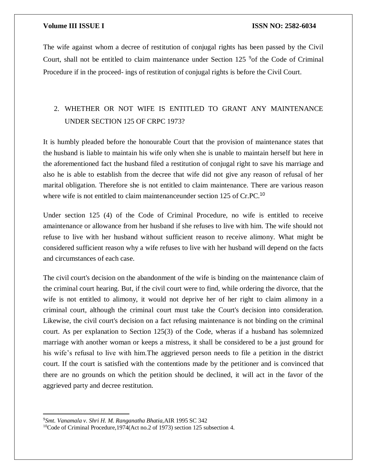The wife against whom a decree of restitution of conjugal rights has been passed by the Civil Court, shall not be entitled to claim maintenance under Section 125 <sup>9</sup> of the Code of Criminal Procedure if in the proceed- ings of restitution of conjugal rights is before the Civil Court.

## 2. WHETHER OR NOT WIFE IS ENTITLED TO GRANT ANY MAINTENANCE UNDER SECTION 125 OF CRPC 1973?

It is humbly pleaded before the honourable Court that the provision of maintenance states that the husband is liable to maintain his wife only when she is unable to maintain herself but here in the aforementioned fact the husband filed a restitution of conjugal right to save his marriage and also he is able to establish from the decree that wife did not give any reason of refusal of her marital obligation. Therefore she is not entitled to claim maintenance. There are various reason where wife is not entitled to claim maintenanceunder section 125 of Cr.PC.<sup>10</sup>

Under section 125 (4) of the Code of Criminal Procedure, no wife is entitled to receive amaintenance or allowance from her husband if she refuses to live with him. The wife should not refuse to live with her husband without sufficient reason to receive alimony. What might be considered sufficient reason why a wife refuses to live with her husband will depend on the facts and circumstances of each case.

The civil court's decision on the abandonment of the wife is binding on the maintenance claim of the criminal court hearing. But, if the civil court were to find, while ordering the divorce, that the wife is not entitled to alimony, it would not deprive her of her right to claim alimony in a criminal court, although the criminal court must take the Court's decision into consideration. Likewise, the civil court's decision on a fact refusing maintenance is not binding on the criminal court. As per explanation to Section 125(3) of the Code, wheras if a husband has solemnized marriage with another woman or keeps a mistress, it shall be considered to be a just ground for his wife's refusal to live with him.The aggrieved person needs to file a petition in the district court. If the court is satisfied with the contentions made by the petitioner and is convinced that there are no grounds on which the petition should be declined, it will act in the favor of the aggrieved party and decree restitution.

<sup>9</sup>*Smt. Vanamala v. Shri H. M. Ranganatha Bhatia,*AIR 1995 SC 342

<sup>10</sup>Code of Criminal Procedure,1974(Act no.2 of 1973) section 125 subsection 4.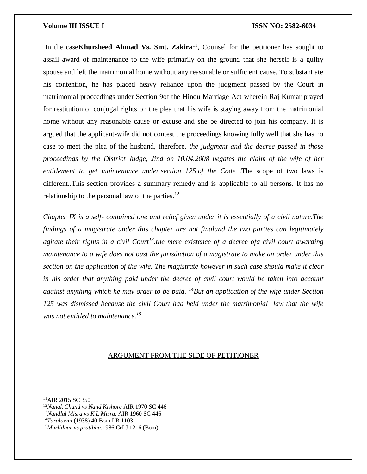In the case**Khursheed Ahmad Vs. Smt. Zakira**<sup>11</sup>, Counsel for the petitioner has sought to assail award of maintenance to the wife primarily on the ground that she herself is a guilty spouse and left the matrimonial home without any reasonable or sufficient cause. To substantiate his contention, he has placed heavy reliance upon the judgment passed by the Court in matrimonial proceedings under Section 9of the Hindu Marriage Act wherein Raj Kumar prayed for restitution of conjugal rights on the plea that his wife is staying away from the matrimonial home without any reasonable cause or excuse and she be directed to join his company. It is argued that the applicant-wife did not contest the proceedings knowing fully well that she has no case to meet the plea of the husband, therefore, *the judgment and the decree passed in those proceedings by the District Judge, Jind on 10.04.2008 negates the claim of the wife of her entitlement to get maintenance under section 125 of the Code* .The scope of two laws is different..This section provides a summary remedy and is applicable to all persons. It has no relationship to the personal law of the parties. $^{12}$ 

*Chapter IX is a self- contained one and relief given under it is essentially of a civil nature.The findings of a magistrate under this chapter are not finaland the two parties can legitimately agitate their rights in a civil Court<sup>13</sup>.the mere existence of a decree ofa civil court awarding maintenance to a wife does not oust the jurisdiction of a magistrate to make an order under this section on the application of the wife. The magistrate however in such case should make it clear in his order that anything paid under the decree of civil court would be taken into account against anything which he may order to be paid. <sup>14</sup>But an application of the wife under Section 125 was dismissed because the civil Court had held under the matrimonial law that the wife was not entitled to maintenance.<sup>15</sup>*

### ARGUMENT FROM THE SIDE OF PETITIONER

- <sup>12</sup>*Nanak Chand vs Nand Kishore* AIR 1970 SC 446
- <sup>13</sup>*Nandlal Misra vs K.L Misra*, AIR 1960 SC 446
- <sup>14</sup>*Taralaxmi*,(1938) 40 Bom LR 1103

<sup>&</sup>lt;sup>11</sup>AIR 2015 SC 350

<sup>15</sup>*Murlidhar vs pratibha*,1986 CrLJ 1216 (Bom).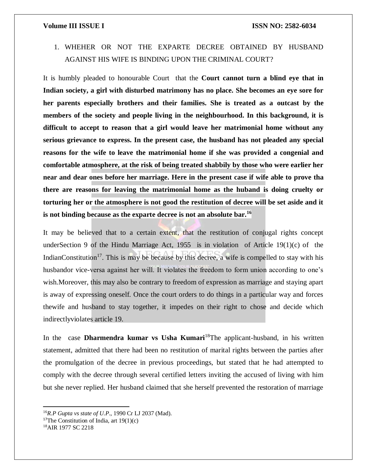1. WHEHER OR NOT THE EXPARTE DECREE OBTAINED BY HUSBAND AGAINST HIS WIFE IS BINDING UPON THE CRIMINAL COURT?

It is humbly pleaded to honourable Court that the **Court cannot turn a blind eye that in Indian society, a girl with disturbed matrimony has no place. She becomes an eye sore for her parents especially brothers and their families. She is treated as a outcast by the members of the society and people living in the neighbourhood. In this background, it is difficult to accept to reason that a girl would leave her matrimonial home without any serious grievance to express. In the present case, the husband has not pleaded any special reasons for the wife to leave the matrimonial home if she was provided a congenial and comfortable atmosphere, at the risk of being treated shabbily by those who were earlier her near and dear ones before her marriage. Here in the present case if wife able to prove tha there are reasons for leaving the matrimonial home as the huband is doing cruelty or torturing her or the atmosphere is not good the restitution of decree will be set aside and it is not binding because as the exparte decree is not an absolute bar.<sup>16</sup>**

It may be believed that to a certain extent, that the restitution of conjugal rights concept underSection 9 of the Hindu Marriage Act, 1955 is in violation of Article 19(1)(c) of the IndianConstitution<sup>17</sup>. This is may be because by this decree, a wife is compelled to stay with his husbandor vice-versa against her will. It violates the freedom to form union according to one's wish.Moreover, this may also be contrary to freedom of expression as marriage and staying apart is away of expressing oneself. Once the court orders to do things in a particular way and forces thewife and husband to stay together, it impedes on their right to chose and decide which indirectlyviolates article 19.

In the case **Dharmendra kumar vs Usha Kumari**<sup>18</sup>The applicant-husband, in his written statement, admitted that there had been no restitution of marital rights between the parties after the promulgation of the decree in previous proceedings, but stated that he had attempted to comply with the decree through several certified letters inviting the accused of living with him but she never replied. Her husband claimed that she herself prevented the restoration of marriage

<sup>16</sup>*R.P Gupta vs state of U.P*., 1990 Cr LJ 2037 (Mad).

<sup>&</sup>lt;sup>17</sup>The Constitution of India, art  $19(1)(c)$ 

<sup>18</sup>AIR 1977 SC 2218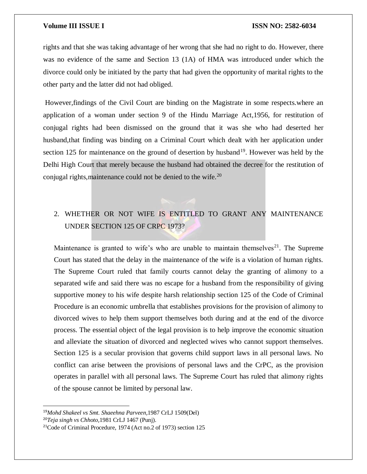rights and that she was taking advantage of her wrong that she had no right to do. However, there was no evidence of the same and Section 13 (1A) of HMA was introduced under which the divorce could only be initiated by the party that had given the opportunity of marital rights to the other party and the latter did not had obliged.

However,findings of the Civil Court are binding on the Magistrate in some respects.where an application of a woman under section 9 of the Hindu Marriage Act,1956, for restitution of conjugal rights had been dismissed on the ground that it was she who had deserted her husband,that finding was binding on a Criminal Court which dealt with her application under section 125 for maintenance on the ground of desertion by husband<sup>19</sup>. However was held by the Delhi High Court that merely because the husband had obtained the decree for the restitution of conjugal rights, maintenance could not be denied to the wife.<sup>20</sup>

## 2. WHETHER OR NOT WIFE IS ENTITLED TO GRANT ANY MAINTENANCE UNDER SECTION 125 OF CRPC 1973?

Maintenance is granted to wife's who are unable to maintain themselves $^{21}$ . The Supreme Court has stated that the delay in the maintenance of the wife is a violation of human rights. The Supreme Court ruled that family courts cannot delay the granting of alimony to a separated wife and said there was no escape for a husband from the responsibility of giving supportive money to his wife despite harsh relationship section 125 of the Code of Criminal Procedure is an economic umbrella that establishes provisions for the provision of alimony to divorced wives to help them support themselves both during and at the end of the divorce process. The essential object of the legal provision is to help improve the economic situation and alleviate the situation of divorced and neglected wives who cannot support themselves. Section 125 is a secular provision that governs child support laws in all personal laws. No conflict can arise between the provisions of personal laws and the CrPC, as the provision operates in parallel with all personal laws. The Supreme Court has ruled that alimony rights of the spouse cannot be limited by personal law.

<sup>19</sup>*Mohd Shakeel vs Smt. Shaeehna Parveen*,1987 CrLJ 1509(Del)

<sup>20</sup>*Teja singh vs Chhoto*,1981 CrLJ 1467 (Punj).

<sup>21</sup>Code of Criminal Procedure, 1974 (Act no.2 of 1973) section 125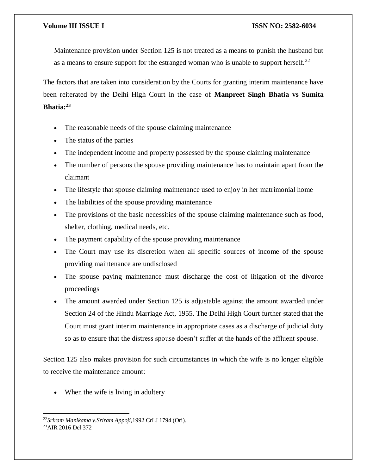Maintenance provision under Section 125 is not treated as a means to punish the husband but as a means to ensure support for the estranged woman who is unable to support herself.<sup>22</sup>

The factors that are taken into consideration by the Courts for granting interim maintenance have been reiterated by the Delhi High Court in the case of **Manpreet Singh Bhatia vs Sumita Bhatia:<sup>23</sup>**

- The reasonable needs of the spouse claiming maintenance
- The status of the parties
- The independent income and property possessed by the spouse claiming maintenance
- The number of persons the spouse providing maintenance has to maintain apart from the claimant
- The lifestyle that spouse claiming maintenance used to enjoy in her matrimonial home
- The liabilities of the spouse providing maintenance
- The provisions of the basic necessities of the spouse claiming maintenance such as food, shelter, clothing, medical needs, etc.
- The payment capability of the spouse providing maintenance
- The Court may use its discretion when all specific sources of income of the spouse providing maintenance are undisclosed
- The spouse paying maintenance must discharge the cost of litigation of the divorce proceedings
- The amount awarded under Section 125 is adjustable against the amount awarded under Section 24 of the Hindu Marriage Act, 1955. The Delhi High Court further stated that the Court must grant interim maintenance in appropriate cases as a discharge of judicial duty so as to ensure that the distress spouse doesn't suffer at the hands of the affluent spouse.

Section 125 also makes provision for such circumstances in which the wife is no longer eligible to receive the maintenance amount:

When the wife is living in adultery

<sup>22</sup>*Sriram Manikama v.Sriram Appoji,*1992 CrLJ 1794 (Ori). 23AIR 2016 Del 372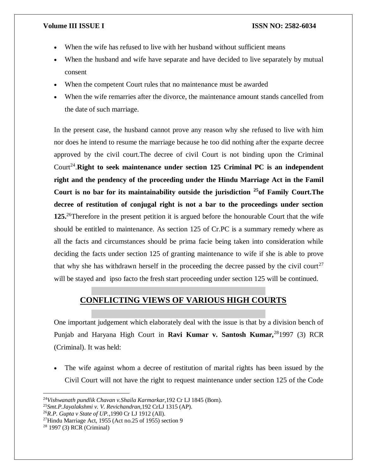- When the wife has refused to live with her husband without sufficient means
- When the husband and wife have separate and have decided to live separately by mutual consent
- When the competent Court rules that no maintenance must be awarded
- When the wife remarries after the divorce, the maintenance amount stands cancelled from the date of such marriage.

In the present case, the husband cannot prove any reason why she refused to live with him nor does he intend to resume the marriage because he too did nothing after the exparte decree approved by the civil court.The decree of civil Court is not binding upon the Criminal Court<sup>24</sup>. Right to seek maintenance under section 125 Criminal PC is an independent **right and the pendency of the proceeding under the Hindu Marriage Act in the Famil Court is no bar for its maintainability outside the jurisdiction <sup>25</sup>of Family Court.The decree of restitution of conjugal right is not a bar to the proceedings under section 125.**<sup>26</sup>Therefore in the present petition it is argued before the honourable Court that the wife should be entitled to maintenance. As section 125 of Cr.PC is a summary remedy where as all the facts and circumstances should be prima facie being taken into consideration while deciding the facts under section 125 of granting maintenance to wife if she is able to prove that why she has withdrawn herself in the proceeding the decree passed by the civil court<sup>27</sup> will be stayed and ipso facto the fresh start proceeding under section 125 will be continued.

## **CONFLICTING VIEWS OF VARIOUS HIGH COURTS**

One important judgement which elaborately deal with the issue is that by a division bench of Punjab and Haryana High Court in **Ravi Kumar v. Santosh Kumar,**<sup>28</sup>1997 (3) RCR (Criminal). It was held:

 The wife against whom a decree of restitution of marital rights has been issued by the Civil Court will not have the right to request maintenance under section 125 of the Code

<sup>24</sup>*Vishwanath pundlik Chavan v.Shaila Karmarkar*,192 Cr LJ 1845 (Bom).

<sup>25</sup>*Smt.P.Jayalakshmi v. V. Revichandran*,192 CrLJ 1315 (AP).

<sup>26</sup>*R.P. Gupta v State of UP.*,1990 Cr LJ 1912 (All).

<sup>&</sup>lt;sup>27</sup>Hindu Marriage Act, 1955 (Act no.25 of 1955) section 9

<sup>28</sup> 1997 (3) RCR (Criminal)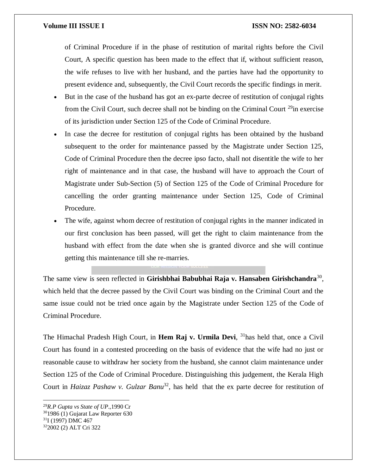of Criminal Procedure if in the phase of restitution of marital rights before the Civil Court, A specific question has been made to the effect that if, without sufficient reason, the wife refuses to live with her husband, and the parties have had the opportunity to present evidence and, subsequently, the Civil Court records the specific findings in merit.

- But in the case of the husband has got an ex-parte decree of restitution of conjugal rights from the Civil Court, such decree shall not be binding on the Criminal Court  $^{29}$ in exercise of its jurisdiction under Section 125 of the Code of Criminal Procedure.
- In case the decree for restitution of conjugal rights has been obtained by the husband subsequent to the order for maintenance passed by the Magistrate under Section 125, Code of Criminal Procedure then the decree ipso facto, shall not disentitle the wife to her right of maintenance and in that case, the husband will have to approach the Court of Magistrate under Sub-Section (5) of Section 125 of the Code of Criminal Procedure for cancelling the order granting maintenance under Section 125, Code of Criminal Procedure.
- The wife, against whom decree of restitution of conjugal rights in the manner indicated in our first conclusion has been passed, will get the right to claim maintenance from the husband with effect from the date when she is granted divorce and she will continue getting this maintenance till she re-marries.

The same view is seen reflected in **Girishbhai Babubhai Raja v. Hansaben Girishchandra**<sup>30</sup> , which held that the decree passed by the Civil Court was binding on the Criminal Court and the same issue could not be tried once again by the Magistrate under Section 125 of the Code of Criminal Procedure.

The Himachal Pradesh High Court, in **Hem Raj v. Urmila Devi**, <sup>31</sup>has held that, once a Civil Court has found in a contested proceeding on the basis of evidence that the wife had no just or reasonable cause to withdraw her society from the husband, she cannot claim maintenance under Section 125 of the Code of Criminal Procedure. Distinguishing this judgement, the Kerala High Court in *Haizaz Pashaw v. Gulzar Banu*<sup>32</sup>, has held that the ex parte decree for restitution of

<sup>29</sup>*R.P Gupta vs State of UP*.,1990 Cr <sup>30</sup>1986 (1) Gujarat Law Reporter 630 <sup>31</sup>I (1997) DMC 467 322002 (2) ALT Cri 322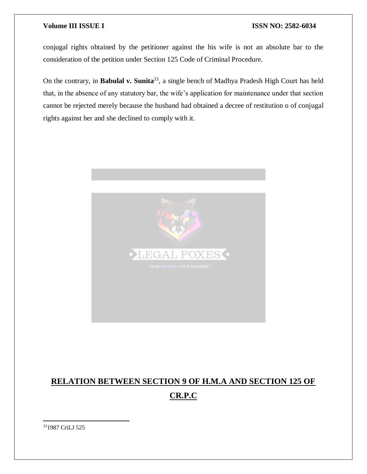conjugal rights obtained by the petitioner against the his wife is not an absolute bar to the consideration of the petition under Section 125 Code of Criminal Procedure.

On the contrary, in **Babulal v. Sunita**<sup>33</sup>, a single bench of Madhya Pradesh High Court has held that, in the absence of any statutory bar, the wife's application for maintenance under that section cannot be rejected merely because the husband had obtained a decree of restitution o of conjugal rights against her and she declined to comply with it.



# **RELATION BETWEEN SECTION 9 OF H.M.A AND SECTION 125 OF**

## **CR.P.C**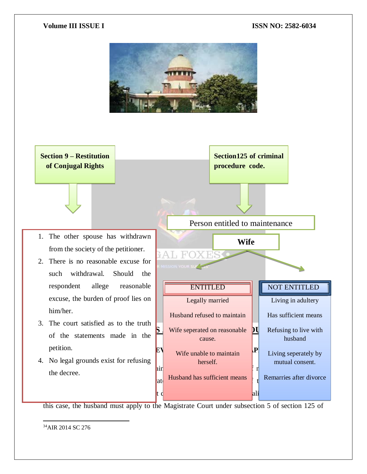



this case, the husband must apply to the Magistrate Court under subsection 5 of section 125 of

 $\overline{a}$ <sup>34</sup>AIR 2014 SC 276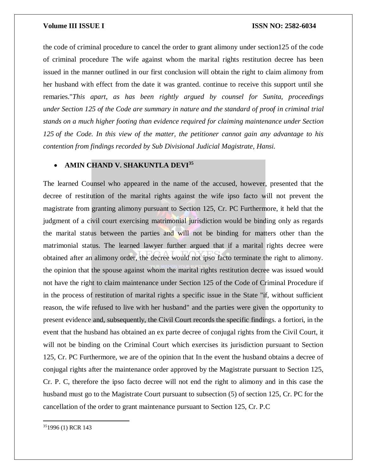the code of criminal procedure to cancel the order to grant alimony under section125 of the code of criminal procedure The wife against whom the marital rights restitution decree has been issued in the manner outlined in our first conclusion will obtain the right to claim alimony from her husband with effect from the date it was granted. continue to receive this support until she remaries."*This apart, as has been rightly argued by counsel for Sunita, proceedings under Section 125 of the Code are summary in nature and the standard of proof in criminal trial stands on a much higher footing than evidence required for claiming maintenance under Section 125 of the Code. In this view of the matter, the petitioner cannot gain any advantage to his contention from findings recorded by Sub Divisional Judicial Magistrate, Hansi.*

### **AMIN CHAND V. SHAKUNTLA DEVI<sup>35</sup>**

The learned Counsel who appeared in the name of the accused, however, presented that the decree of restitution of the marital rights against the wife ipso facto will not prevent the magistrate from granting alimony pursuant to Section 125, Cr. PC Furthermore, it held that the judgment of a civil court exercising matrimonial jurisdiction would be binding only as regards the marital status between the parties and will not be binding for matters other than the matrimonial status. The learned lawyer further argued that if a marital rights decree were obtained after an alimony order, the decree would not ipso facto terminate the right to alimony. the opinion that the spouse against whom the marital rights restitution decree was issued would not have the right to claim maintenance under Section 125 of the Code of Criminal Procedure if in the process of restitution of marital rights a specific issue in the State "if, without sufficient reason, the wife refused to live with her husband" and the parties were given the opportunity to present evidence and, subsequently, the Civil Court records the specific findings. a fortiori, in the event that the husband has obtained an ex parte decree of conjugal rights from the Civil Court, it will not be binding on the Criminal Court which exercises its jurisdiction pursuant to Section 125, Cr. PC Furthermore, we are of the opinion that In the event the husband obtains a decree of conjugal rights after the maintenance order approved by the Magistrate pursuant to Section 125, Cr. P. C, therefore the ipso facto decree will not end the right to alimony and in this case the husband must go to the Magistrate Court pursuant to subsection (5) of section 125, Cr. PC for the cancellation of the order to grant maintenance pursuant to Section 125, Cr. P.C

 $\overline{a}$ 351996 (1) RCR 143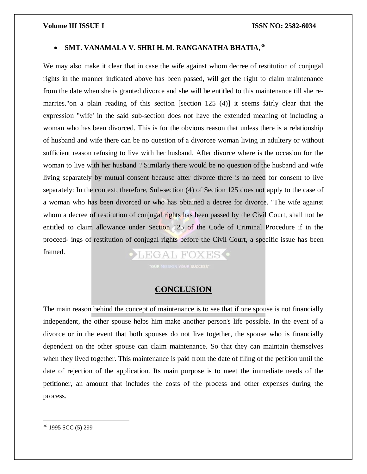### **SMT. VANAMALA V. SHRI H. M. RANGANATHA BHATIA**, 36

We may also make it clear that in case the wife against whom decree of restitution of conjugal rights in the manner indicated above has been passed, will get the right to claim maintenance from the date when she is granted divorce and she will be entitled to this maintenance till she remarries."on a plain reading of this section [section 125 (4)] it seems fairly clear that the expression "wife' in the said sub-section does not have the extended meaning of including a woman who has been divorced. This is for the obvious reason that unless there is a relationship of husband and wife there can be no question of a divorcee woman living in adultery or without sufficient reason refusing to live with her husband. After divorce where is the occasion for the woman to live with her husband ? Similarly there would be no question of the husband and wife living separately by mutual consent because after divorce there is no need for consent to live separately: In the context, therefore, Sub-section (4) of Section 125 does not apply to the case of a woman who has been divorced or who has obtained a decree for divorce. "The wife against whom a decree of restitution of conjugal rights has been passed by the Civil Court, shall not be entitled to claim allowance under Section 125 of the Code of Criminal Procedure if in the proceed- ings of restitution of conjugal rights before the Civil Court, a specific issue has been framed. LEGAL FOXES .

## **CONCLUSION**

The main reason behind the concept of maintenance is to see that if one spouse is not financially independent, the other spouse helps him make another person's life possible. In the event of a divorce or in the event that both spouses do not live together, the spouse who is financially dependent on the other spouse can claim maintenance. So that they can maintain themselves when they lived together. This maintenance is paid from the date of filing of the petition until the date of rejection of the application. Its main purpose is to meet the immediate needs of the petitioner, an amount that includes the costs of the process and other expenses during the process.

<sup>36</sup> 1995 SCC (5) 299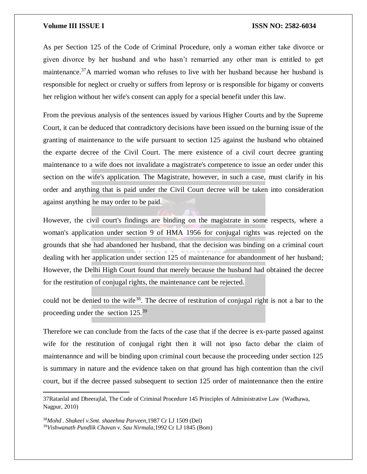As per Section 125 of the Code of Criminal Procedure, only a woman either take divorce or given divorce by her husband and who hasn't remarried any other man is entitled to get maintenance.<sup>37</sup>A married woman who refuses to live with her husband because her husband is responsible for neglect or cruelty or suffers from leprosy or is responsible for bigamy or converts her religion without her wife's consent can apply for a special benefit under this law.

From the previous analysis of the sentences issued by various Higher Courts and by the Supreme Court, it can be deduced that contradictory decisions have been issued on the burning issue of the granting of maintenance to the wife pursuant to section 125 against the husband who obtained the exparte decree of the Civil Court. The mere existence of a civil court decree granting maintenance to a wife does not invalidate a magistrate's competence to issue an order under this section on the wife's application. The Magistrate, however, in such a case, must clarify in his order and anything that is paid under the Civil Court decree will be taken into consideration against anything he may order to be paid.

However, the civil court's findings are binding on the magistrate in some respects, where a woman's application under section 9 of HMA 1956 for conjugal rights was rejected on the grounds that she had abandoned her husband, that the decision was binding on a criminal court dealing with her application under section 125 of maintenance for abandonment of her husband; However, the Delhi High Court found that merely because the husband had obtained the decree for the restitution of conjugal rights, the maintenance cant be rejected.

could not be denied to the wife<sup>38</sup>. The decree of restitution of conjugal right is not a bar to the proceeding under the section 125.<sup>39</sup>

Therefore we can conclude from the facts of the case that if the decree is ex-parte passed against wife for the restitution of conjugal right then it will not ipso facto debar the claim of maintenannce and will be binding upon criminal court because the proceeding under section 125 is summary in nature and the evidence taken on that ground has high contention than the civil court, but if the decree passed subsequent to section 125 order of maintennance then the entire

<sup>37</sup>Ratanlal and Dheerajlal, The Code of Criminal Procedure 145 Principles of Administrative Law (Wadhawa, Nagpur, 2010)

<sup>38</sup>*Mohd . Shakeel v.Smt. shaeehna Parveen*,1987 Cr LJ 1509 (Del) 39*Vishwanath Pundlik Chavan v. Sau Nirmala*,1992 Cr LJ 1845 (Bom)